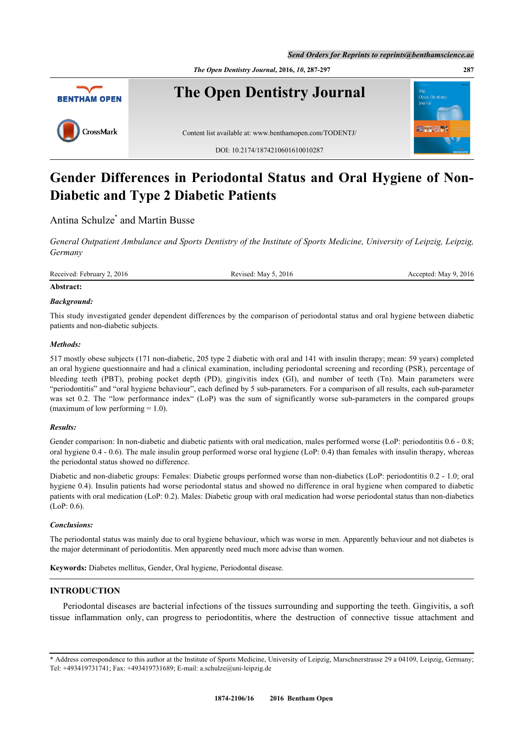*Send Orders for Reprints to reprints@benthamscience.ae*

*The Open Dentistry Journal***, 2016,** *10***, 287-297 287**



# **Gender Differences in Periodontal Status and Oral Hygiene of Non-Diabetic and Type 2 Diabetic Patients**

## Antina Schulze<sup>[\\*](#page-0-0)</sup> and Martin Busse

*General Outpatient Ambulance and Sports Dentistry of the Institute of Sports Medicine, University of Leipzig, Leipzig, Germany*

Received: February 2, 2016 Revised: May 5, 2016 Revised: May 5, 2016 Accepted: May 9, 2016

## **Abstract:**

## *Background:*

This study investigated gender dependent differences by the comparison of periodontal status and oral hygiene between diabetic patients and non-diabetic subjects.

## *Methods:*

517 mostly obese subjects (171 non-diabetic, 205 type 2 diabetic with oral and 141 with insulin therapy; mean: 59 years) completed an oral hygiene questionnaire and had a clinical examination, including periodontal screening and recording (PSR), percentage of bleeding teeth (PBT), probing pocket depth (PD), gingivitis index (GI), and number of teeth (Tn). Main parameters were "periodontitis" and "oral hygiene behaviour", each defined by 5 sub-parameters. For a comparison of all results, each sub-parameter was set 0.2. The "low performance index" (LoP) was the sum of significantly worse sub-parameters in the compared groups (maximum of low performing  $= 1.0$ ).

## *Results:*

Gender comparison: In non-diabetic and diabetic patients with oral medication, males performed worse (LoP: periodontitis 0.6 - 0.8; oral hygiene 0.4 - 0.6). The male insulin group performed worse oral hygiene (LoP: 0.4) than females with insulin therapy, whereas the periodontal status showed no difference.

Diabetic and non-diabetic groups: Females: Diabetic groups performed worse than non-diabetics (LoP: periodontitis 0.2 - 1.0; oral hygiene 0.4). Insulin patients had worse periodontal status and showed no difference in oral hygiene when compared to diabetic patients with oral medication (LoP: 0.2). Males: Diabetic group with oral medication had worse periodontal status than non-diabetics (LoP: 0.6).

## *Conclusions:*

The periodontal status was mainly due to oral hygiene behaviour, which was worse in men. Apparently behaviour and not diabetes is the major determinant of periodontitis. Men apparently need much more advise than women.

**Keywords:** Diabetes mellitus, Gender, Oral hygiene, Periodontal disease.

## **INTRODUCTION**

Periodontal diseases are bacterial infections of the tissues surrounding and supporting the teeth. Gingivitis, a soft tissue inflammation only, can progress to periodontitis, where the destruction of connective tissue attachment and

<span id="page-0-0"></span><sup>\*</sup> Address correspondence to this author at the Institute of Sports Medicine, University of Leipzig, Marschnerstrasse 29 a 04109, Leipzig, Germany; Tel: +493419731741; Fax: +493419731689; E-mail: [a.schulze@uni-leipzig.de](mailto:a.schulze@uni-leipzig.de)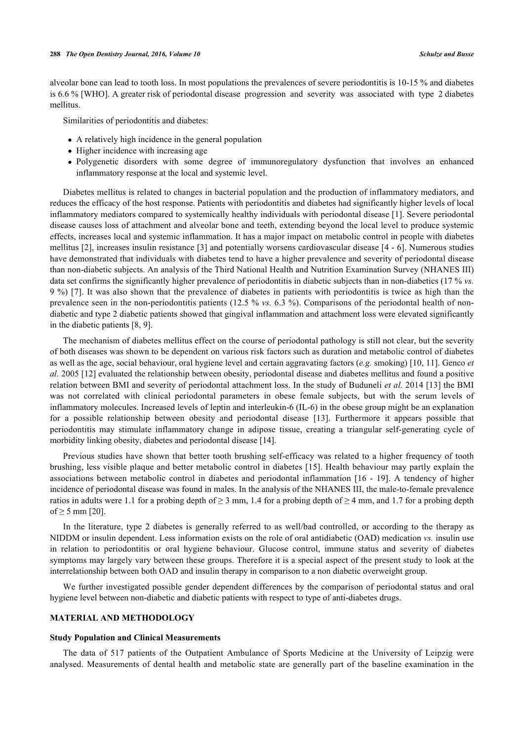alveolar bone can lead to tooth loss. In most populations the prevalences of severe periodontitis is 10-15 % and diabetes is 6.6 % [WHO]. A greater risk of periodontal disease progression and severity was associated with type 2 diabetes mellitus.

Similarities of periodontitis and diabetes:

- A relatively high incidence in the general population
- Higher incidence with increasing age
- Polygenetic disorders with some degree of immunoregulatory dysfunction that involves an enhanced inflammatory response at the local and systemic level.

Diabetes mellitus is related to changes in bacterial population and the production of inflammatory mediators, and reduces the efficacy of the host response. Patients with periodontitis and diabetes had significantly higher levels of local inflammatory mediators compared to systemically healthy individuals with periodontal disease [[1\]](#page-8-0). Severe periodontal disease causes loss of attachment and alveolar bone and teeth, extending beyond the local level to produce systemic effects, increases local and systemic inflammation. It has a major impact on metabolic control in people with diabetes mellitus [[2\]](#page-8-1), increases insulin resistance [\[3](#page-8-2)] and potentially worsens cardiovascular disease [[4](#page-8-3) - [6](#page-8-4)]. Numerous studies have demonstrated that individuals with diabetes tend to have a higher prevalence and severity of periodontal disease than non-diabetic subjects. An analysis of the Third National Health and Nutrition Examination Survey (NHANES III) data set confirms the significantly higher prevalence of periodontitis in diabetic subjects than in non-diabetics (17 % *vs.* 9 %) [\[7](#page-8-5)]. It was also shown that the prevalence of diabetes in patients with periodontitis is twice as high than the prevalence seen in the non-periodontitis patients (12.5 % *vs.* 6.3 %). Comparisons of the periodontal health of nondiabetic and type 2 diabetic patients showed that gingival inflammation and attachment loss were elevated significantly in the diabetic patients [[8,](#page-8-6) [9\]](#page-8-7).

The mechanism of diabetes mellitus effect on the course of periodontal pathology is still not clear, but the severity of both diseases was shown to be dependent on various risk factors such as duration and metabolic control of diabetes as well as the age, social behaviour, oral hygiene level and certain aggravating factors (*e.g.* smoking) [\[10](#page-8-8), [11](#page-8-9)]. Genco *et al.* 2005 [[12\]](#page-8-10) evaluated the relationship between obesity, periodontal disease and diabetes mellitus and found a positive relation between BMI and severity of periodontal attachment loss. In the study of Buduneli *et al.* 2014 [[13\]](#page-8-11) the BMI was not correlated with clinical periodontal parameters in obese female subjects, but with the serum levels of inflammatory molecules. Increased levels of leptin and interleukin-6 (IL-6) in the obese group might be an explanation for a possible relationship between obesity and periodontal disease[[13\]](#page-8-11). Furthermore it appears possible that periodontitis may stimulate inflammatory change in adipose tissue, creating a triangular self-generating cycle of morbidity linking obesity, diabetes and periodontal disease [\[14](#page-8-12)].

Previous studies have shown that better tooth brushing self-efficacy was related to a higher frequency of tooth brushing, less visible plaque and better metabolic control in diabetes [\[15\]](#page-8-13). Health behaviour may partly explain the associations between metabolic control in diabetes and periodontal inflammation [\[16](#page-8-14) - [19](#page-9-0)]. A tendency of higher incidence of periodontal disease was found in males. In the analysis of the NHANES III, the male-to-female prevalence ratios in adults were 1.1 for a probing depth of  $\geq 3$  mm, 1.4 for a probing depth of  $\geq 4$  mm, and 1.7 for a probing depth of ≥ 5 mm [\[20](#page-9-1)].

In the literature, type 2 diabetes is generally referred to as well/bad controlled, or according to the therapy as NIDDM or insulin dependent. Less information exists on the role of oral antidiabetic (OAD) medication *vs.* insulin use in relation to periodontitis or oral hygiene behaviour. Glucose control, immune status and severity of diabetes symptoms may largely vary between these groups. Therefore it is a special aspect of the present study to look at the interrelationship between both OAD and insulin therapy in comparison to a non diabetic overweight group.

We further investigated possible gender dependent differences by the comparison of periodontal status and oral hygiene level between non-diabetic and diabetic patients with respect to type of anti-diabetes drugs.

#### **MATERIAL AND METHODOLOGY**

#### **Study Population and Clinical Measurements**

The data of 517 patients of the Outpatient Ambulance of Sports Medicine at the University of Leipzig were analysed. Measurements of dental health and metabolic state are generally part of the baseline examination in the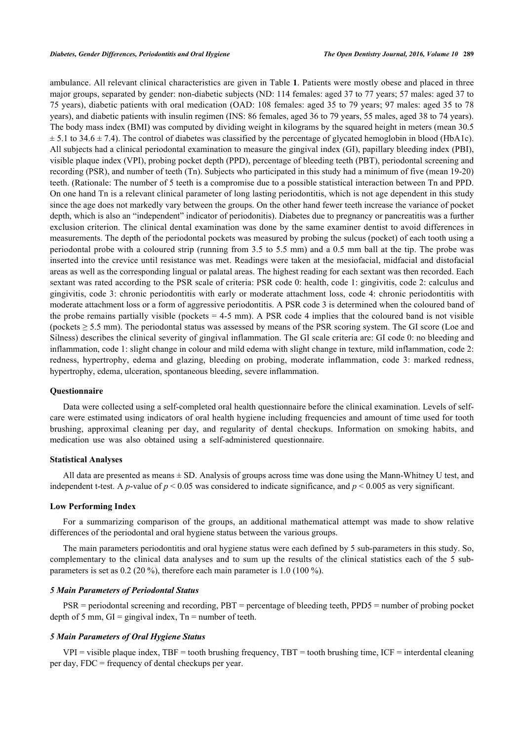ambulance. All relevant clinical characteristics are given in Table **[1](#page-3-0)**. Patients were mostly obese and placed in three major groups, separated by gender: non-diabetic subjects (ND: 114 females: aged 37 to 77 years; 57 males: aged 37 to 75 years), diabetic patients with oral medication (OAD: 108 females: aged 35 to 79 years; 97 males: aged 35 to 78 years), and diabetic patients with insulin regimen (INS: 86 females, aged 36 to 79 years, 55 males, aged 38 to 74 years). The body mass index (BMI) was computed by dividing weight in kilograms by the squared height in meters (mean 30.5  $\pm$  5.1 to 34.6  $\pm$  7.4). The control of diabetes was classified by the percentage of glycated hemoglobin in blood (HbA1c). All subjects had a clinical periodontal examination to measure the gingival index (GI), papillary bleeding index (PBI), visible plaque index (VPI), probing pocket depth (PPD), percentage of bleeding teeth (PBT), periodontal screening and recording (PSR), and number of teeth (Tn). Subjects who participated in this study had a minimum of five (mean 19-20) teeth. (Rationale: The number of 5 teeth is a compromise due to a possible statistical interaction between Tn and PPD. On one hand Tn is a relevant clinical parameter of long lasting periodontitis, which is not age dependent in this study since the age does not markedly vary between the groups. On the other hand fewer teeth increase the variance of pocket depth, which is also an "independent" indicator of periodonitis). Diabetes due to pregnancy or pancreatitis was a further exclusion criterion. The clinical dental examination was done by the same examiner dentist to avoid differences in measurements. The depth of the periodontal pockets was measured by probing the sulcus (pocket) of each tooth using a periodontal probe with a coloured strip (running from 3.5 to 5.5 mm) and a 0.5 mm ball at the tip. The probe was inserted into the crevice until resistance was met. Readings were taken at the mesiofacial, midfacial and distofacial areas as well as the corresponding lingual or palatal areas. The highest reading for each sextant was then recorded. Each sextant was rated according to the PSR scale of criteria: PSR code 0: health, code 1: gingivitis, code 2: calculus and gingivitis, code 3: chronic periodontitis with early or moderate attachment loss, code 4: chronic periodontitis with moderate attachment loss or a form of aggressive periodontitis. A PSR code 3 is determined when the coloured band of the probe remains partially visible (pockets  $= 4-5$  mm). A PSR code 4 implies that the coloured band is not visible (pockets  $\geq$  5.5 mm). The periodontal status was assessed by means of the PSR scoring system. The GI score (Loe and Silness) describes the clinical severity of gingival inflammation. The GI scale criteria are: GI code 0: no bleeding and inflammation, code 1: slight change in colour and mild edema with slight change in texture, mild inflammation, code 2: redness, hypertrophy, edema and glazing, bleeding on probing, moderate inflammation, code 3: marked redness, hypertrophy, edema, ulceration, spontaneous bleeding, severe inflammation.

#### **Questionnaire**

Data were collected using a self-completed oral health questionnaire before the clinical examination. Levels of selfcare were estimated using indicators of oral health hygiene including frequencies and amount of time used for tooth brushing, approximal cleaning per day, and regularity of dental checkups. Information on smoking habits, and medication use was also obtained using a self-administered questionnaire.

#### **Statistical Analyses**

All data are presented as means ± SD. Analysis of groups across time was done using the Mann-Whitney U test, and independent t-test. A *p*-value of  $p < 0.05$  was considered to indicate significance, and  $p < 0.005$  as very significant.

## **Low Performing Index**

For a summarizing comparison of the groups, an additional mathematical attempt was made to show relative differences of the periodontal and oral hygiene status between the various groups.

The main parameters periodontitis and oral hygiene status were each defined by 5 sub-parameters in this study. So, complementary to the clinical data analyses and to sum up the results of the clinical statistics each of the 5 subparameters is set as 0.2 (20 %), therefore each main parameter is 1.0 (100 %).

#### *5 Main Parameters of Periodontal Status*

PSR = periodontal screening and recording, PBT = percentage of bleeding teeth, PPD5 = number of probing pocket depth of 5 mm,  $GI =$  gingival index,  $Tn =$  number of teeth.

## *5 Main Parameters of Oral Hygiene Status*

 $VPI$  = visible plaque index, TBF = tooth brushing frequency, TBT = tooth brushing time, ICF = interdental cleaning per day, FDC = frequency of dental checkups per year.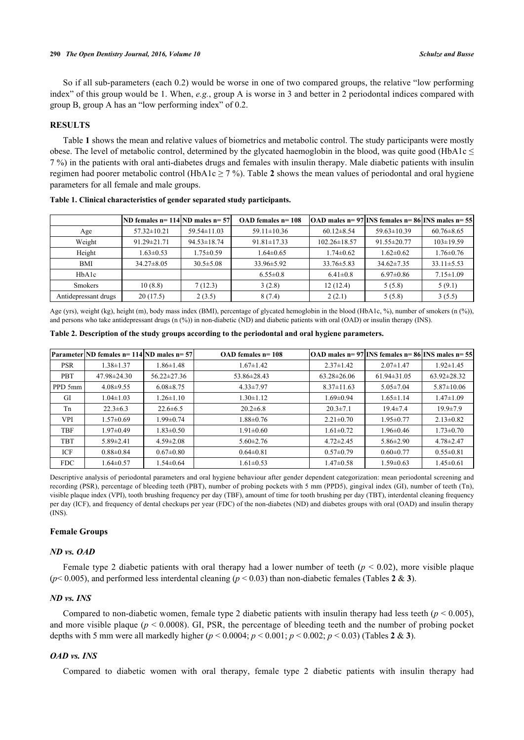So if all sub-parameters (each 0.2) would be worse in one of two compared groups, the relative "low performing index" of this group would be 1. When, *e.g.*, group A is worse in 3 and better in 2 periodontal indices compared with group B, group A has an "low performing index" of 0.2.

#### **RESULTS**

Table **[1](#page-3-0)** shows the mean and relative values of biometrics and metabolic control. The study participants were mostly obese. The level of metabolic control, determined by the glycated haemoglobin in the blood, was quite good (HbA1c  $\leq$ 7 %) in the patients with oral anti-diabetes drugs and females with insulin therapy. Male diabetic patients with insulin regimen had poorer metabolic control (HbA1c  $\geq$  7 %). Table [2](#page-3-1) shows the mean values of periodontal and oral hygiene parameters for all female and male groups.

|                      | ND females n= 114  ND males n= 57 |                   | OAD females n= 108 |                    | $[OAD$ males n= 97 $[INS$ females n= 86 $[INS$ males n= 55 |                  |
|----------------------|-----------------------------------|-------------------|--------------------|--------------------|------------------------------------------------------------|------------------|
| Age                  | $57.32 \pm 10.21$                 | $59.54 \pm 11.03$ | $59.11 \pm 10.36$  | $60.12 \pm 8.54$   | $59.63 \pm 10.39$                                          | $60.76 \pm 8.65$ |
| Weight               | $91.29 \pm 21.71$                 | $94.53 \pm 18.74$ | $91.81 \pm 17.33$  | $102.26 \pm 18.57$ | $91.55 \pm 20.77$                                          | $103 \pm 19.59$  |
| Height               | $1.63 \pm 0.53$                   | $1.75 \pm 0.59$   | $1.64 \pm 0.65$    | $1.74 \pm 0.62$    | $1.62 \pm 0.62$                                            | $1.76 \pm 0.76$  |
| <b>BMI</b>           | $34.27 \pm 8.05$                  | $30.5 \pm 5.08$   | 33.96±5.92         | $33.76 \pm 5.83$   | $34.62 \pm 7.35$                                           | $33.11 \pm 5.53$ |
| HbA1c                |                                   |                   | $6.55 \pm 0.8$     | $6.41 \pm 0.8$     | $6.97 \pm 0.86$                                            | $7.15 \pm 1.09$  |
| <b>Smokers</b>       | 10(8.8)                           | 7(12.3)           | 3(2.8)             | 12(12.4)           | 5(5.8)                                                     | 5(9.1)           |
| Antidepressant drugs | 20(17.5)                          | 2(3.5)            | 8(7.4)             | 2(2.1)             | 5(5.8)                                                     | 3(5.5)           |

<span id="page-3-0"></span>**Table 1. Clinical characteristics of gender separated study participants.**

Age (yrs), weight (kg), height (m), body mass index (BMI), percentage of glycated hemoglobin in the blood (HbA1c, %), number of smokers (n (%)), and persons who take antidepressant drugs (n (%)) in non-diabetic (ND) and diabetic patients with oral (OAD) or insulin therapy (INS).

<span id="page-3-1"></span>

|  | Table 2. Description of the study groups according to the periodontal and oral hygiene parameters. |  |  |
|--|----------------------------------------------------------------------------------------------------|--|--|
|  |                                                                                                    |  |  |

|            | Parameter ND females n= 114 ND males n= 57 |                   | OAD females n= 108 |                   | $[OAD$ males n= 97 $[INS$ females n= 86 $[INS$ males n= 55 |                   |
|------------|--------------------------------------------|-------------------|--------------------|-------------------|------------------------------------------------------------|-------------------|
| <b>PSR</b> | $1.38 \pm 1.37$                            | $1.86 \pm 1.48$   | $1.67 \pm 1.42$    | $2.37 \pm 1.42$   | $2.07 \pm 1.47$                                            | $1.92 \pm 1.45$   |
| PBT        | 47.98±24.30                                | $56.22 \pm 27.36$ | 53.86±28.43        | $63.28 \pm 26.06$ | $61.94 \pm 31.05$                                          | $63.92 \pm 28.32$ |
| PPD 5mm    | $4.08 \pm 9.55$                            | $6.08 \pm 8.75$   | $4.33 \pm 7.97$    | $8.37 \pm 11.63$  | $5.05 \pm 7.04$                                            | $5.87 \pm 10.06$  |
| GI         | $1.04 \pm 1.03$                            | $1.26 \pm 1.10$   | $1.30 \pm 1.12$    | $1.69 \pm 0.94$   | $1.65 \pm 1.14$                                            | $1.47 \pm 1.09$   |
| Tn         | $22.3 \pm 6.3$                             | $22.6 \pm 6.5$    | $20.2 \pm 6.8$     | $20.3 \pm 7.1$    | $19.4 \pm 7.4$                                             | $19.9 \pm 7.9$    |
| <b>VPI</b> | $1.57 \pm 0.69$                            | $1.99 \pm 0.74$   | $1.88 \pm 0.76$    | $2.21 \pm 0.70$   | $1.95 \pm 0.77$                                            | $2.13 \pm 0.82$   |
| <b>TBF</b> | $1.97 \pm 0.49$                            | $1.83 \pm 0.50$   | $1.91 \pm 0.60$    | $1.61 \pm 0.72$   | $1.96 \pm 0.46$                                            | $1.73 \pm 0.70$   |
| <b>TBT</b> | $5.89 \pm 2.41$                            | $4.59 \pm 2.08$   | $5.60 \pm 2.76$    | $4.72 \pm 2.45$   | $5.86 \pm 2.90$                                            | $4.78 \pm 2.47$   |
| ICF        | $0.88 \pm 0.84$                            | $0.67 \pm 0.80$   | $0.64 \pm 0.81$    | $0.57 \pm 0.79$   | $0.60 \pm 0.77$                                            | $0.55 \pm 0.81$   |
| <b>FDC</b> | $1.64 \pm 0.57$                            | $1.54 \pm 0.64$   | $1.61 \pm 0.53$    | $1.47 \pm 0.58$   | $1.59 \pm 0.63$                                            | $1.45 \pm 0.61$   |

Descriptive analysis of periodontal parameters and oral hygiene behaviour after gender dependent categorization: mean periodontal screening and recording (PSR), percentage of bleeding teeth (PBT), number of probing pockets with 5 mm (PPD5), gingival index (GI), number of teeth (Tn), visible plaque index (VPI), tooth brushing frequency per day (TBF), amount of time for tooth brushing per day (TBT), interdental cleaning frequency per day (ICF), and frequency of dental checkups per year (FDC) of the non-diabetes (ND) and diabetes groups with oral (OAD) and insulin therapy (INS).

## **Female Groups**

#### *ND vs. OAD*

Female type 2 diabetic patients with oral therapy had a lower number of teeth ( $p < 0.02$ ), more visible plaque ( $p$ < 0.005), and performed less interdental cleaning ( $p$  < 0.03) than non-diabetic females (Tables [2](#page-3-1) & [3](#page-4-0)).

#### *ND vs. INS*

Compared to non-diabetic women, female type 2 diabetic patients with insulin therapy had less teeth ( $p < 0.005$ ), and more visible plaque ( $p < 0.0008$ ). GI, PSR, the percentage of bleeding teeth and the number of probing pocket depths with 5 mm were all markedly higher (*p* < 0.0004; *p* < 0.001; *p* < 0.002; *p* < 0.03) (Tables **[2](#page-3-1)** & **[3](#page-4-0)**).

#### *OAD vs. INS*

Compared to diabetic women with oral therapy, female type 2 diabetic patients with insulin therapy had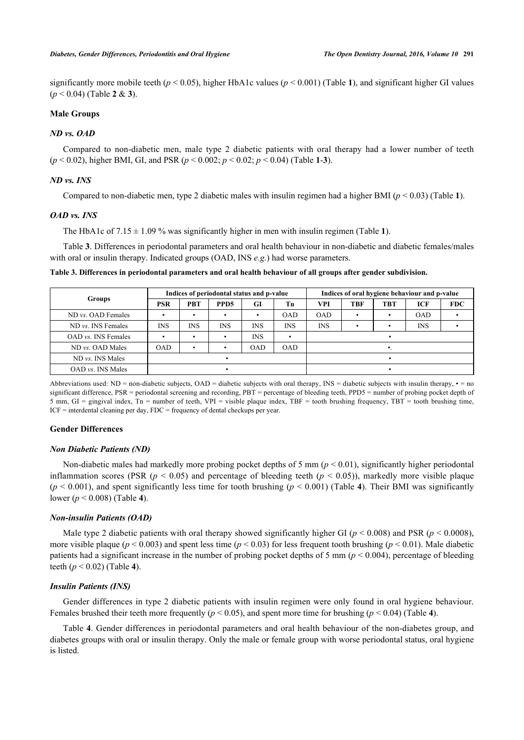significantly more mobile teeth  $(p < 0.05)$ , higher HbA[1](#page-3-0)c values  $(p < 0.001)$  (Table 1), and significant higher GI values (*p* < 0.04) (Table **[2](#page-3-1)** & **[3](#page-4-0)**).

## **Male Groups**

#### *ND vs. OAD*

Compared to non-diabetic men, male type 2 diabetic patients with oral therapy had a lower number of teeth (*p* < 0.02), higher BMI, GI, and PSR (*p* < 0.002; *p* < 0.02; *p* < 0.04) (Table **[1](#page-3-0)**-**[3](#page-4-0)**).

## *ND vs. INS*

Compared to non-diabetic men, type 2 diabetic males with insulin regimen had a higher BMI ( $p < 0.03$ ) (Table [1](#page-3-0)).

## *OAD vs. INS*

The HbA[1](#page-3-0)c of  $7.15 \pm 1.09$  % was significantly higher in men with insulin regimen (Table 1).

Table **[3](#page-4-0)**. Differences in periodontal parameters and oral health behaviour in non-diabetic and diabetic females/males with oral or insulin therapy. Indicated groups (OAD, INS *e.g.*) had worse parameters.

<span id="page-4-0"></span>**Table 3. Differences in periodontal parameters and oral health behaviour of all groups after gender subdivision.**

|                              | Indices of periodontal status and p-value |            |                  |            | Indices of oral hygiene behaviour and p-value |            |     |            |            |            |
|------------------------------|-------------------------------------------|------------|------------------|------------|-----------------------------------------------|------------|-----|------------|------------|------------|
| <b>Groups</b>                | PSR                                       | PBT        | PPD <sub>5</sub> | GI         | Тn                                            | VPI        | TBF | <b>TBT</b> | ICF        | <b>FDC</b> |
| $ND$ <i>vs.</i> OAD Females  |                                           | ٠          |                  |            | <b>OAD</b>                                    | <b>OAD</b> |     |            | <b>OAD</b> |            |
| ND vs. INS Females           | <b>INS</b>                                | <b>INS</b> | <b>INS</b>       | <b>INS</b> | <b>INS</b>                                    | <b>INS</b> |     |            | <b>INS</b> |            |
| $OAD$ <i>vs.</i> INS Females |                                           |            |                  | <b>INS</b> |                                               |            |     |            |            |            |
| ND vs. OAD Males             | <b>OAD</b>                                | ٠          |                  | <b>OAD</b> | <b>OAD</b>                                    |            |     |            |            |            |
| ND <i>vs.</i> INS Males      |                                           |            |                  |            |                                               |            |     |            |            |            |
| $OAD$ <i>vs.</i> INS Males   |                                           |            |                  |            |                                               |            |     |            |            |            |

Abbreviations used:  $ND =$  non-diabetic subjects,  $OAD =$  diabetic subjects with oral therapy,  $INS =$  diabetic subjects with insulin therapy,  $\cdot =$  no significant difference, PSR = periodontal screening and recording, PBT = percentage of bleeding teeth, PPD5 = number of probing pocket depth of 5 mm,  $GI =$  gingival index,  $Tn =$  number of teeth,  $VPI =$  visible plaque index,  $TBF =$  tooth brushing frequency,  $TBT =$  tooth brushing time, ICF = interdental cleaning per day, FDC = frequency of dental checkups per year.

#### **Gender Differences**

#### *Non Diabetic Patients (ND)*

Non-diabetic males had markedly more probing pocket depths of 5 mm ( $p < 0.01$ ), significantly higher periodontal inflammation scores (PSR  $(p < 0.05)$  and percentage of bleeding teeth  $(p < 0.05)$ ), markedly more visible plaque  $(p < 0.001)$ , and spent significantly less time for tooth brushing  $(p < 0.001)$  (Table [4](#page-5-0)). Their BMI was significantly lower (*p* < 0.008) (Table **[4](#page-5-0)**).

#### *Non-insulin Patients (OAD)*

Male type 2 diabetic patients with oral therapy showed significantly higher GI ( $p < 0.008$ ) and PSR ( $p < 0.0008$ ), more visible plaque ( $p < 0.003$ ) and spent less time ( $p < 0.03$ ) for less frequent tooth brushing ( $p < 0.01$ ). Male diabetic patients had a significant increase in the number of probing pocket depths of 5 mm ( $p < 0.004$ ), percentage of bleeding teeth (*p* < 0.02) (Table **[4](#page-5-0)**).

#### *Insulin Patients (INS)*

Gender differences in type 2 diabetic patients with insulin regimen were only found in oral hygiene behaviour. Females brushed their teeth more frequently ( $p < 0.05$ ), and spent more time for brushing ( $p < 0.04$  $p < 0.04$ ) (Table 4).

Table **[4](#page-5-0)**. Gender differences in periodontal parameters and oral health behaviour of the non-diabetes group, and diabetes groups with oral or insulin therapy. Only the male or female group with worse periodontal status, oral hygiene is listed.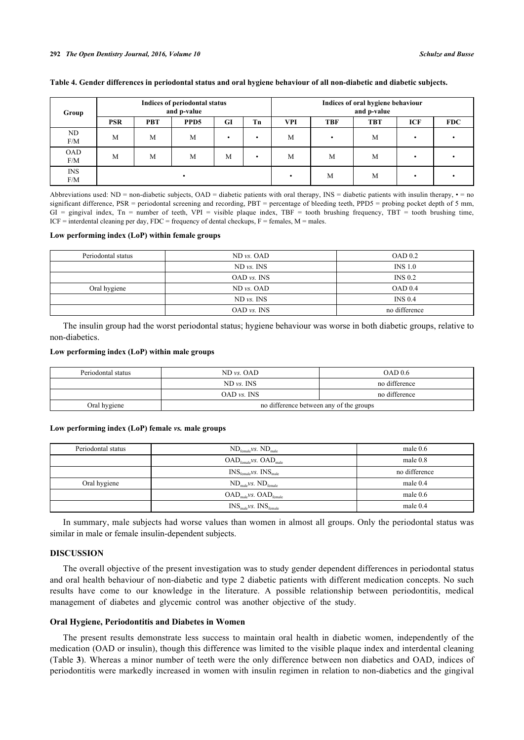#### **292** *The Open Dentistry Journal, 2016, Volume 10 Schulze and Busse*

#### <span id="page-5-0"></span>**Table 4. Gender differences in periodontal status and oral hygiene behaviour of all non-diabetic and diabetic subjects.**

| Group             | Indices of periodontal status<br>and p-value |            |                  |    |    | Indices of oral hygiene behaviour<br>and p-value |            |            |     |            |
|-------------------|----------------------------------------------|------------|------------------|----|----|--------------------------------------------------|------------|------------|-----|------------|
|                   | <b>PSR</b>                                   | <b>PBT</b> | PPD <sub>5</sub> | GI | Tn | <b>VPI</b>                                       | <b>TBF</b> | <b>TBT</b> | ICF | <b>FDC</b> |
| ND<br>F/M         | M                                            | M          | M                | ٠  | ٠  | M                                                |            | M          |     |            |
| <b>OAD</b><br>F/M | M                                            | M          | M                | M  | ٠  | M                                                | M          | M          |     |            |
| <b>INS</b><br>F/M |                                              |            |                  |    |    |                                                  | M          | M          |     |            |

Abbreviations used: ND = non-diabetic subjects, OAD = diabetic patients with oral therapy, INS = diabetic patients with insulin therapy,  $\cdot$  = no significant difference, PSR = periodontal screening and recording, PBT = percentage of bleeding teeth, PPD5 = probing pocket depth of 5 mm,  $GI =$  gingival index,  $Tn =$  number of teeth,  $VPI =$  visible plaque index,  $TBF =$  tooth brushing frequency,  $TBT =$  tooth brushing time,  $ICF =$  interdental cleaning per day,  $FDC =$  frequency of dental checkups,  $F =$  females,  $M =$  males.

## **Low performing index (LoP) within female groups**

| Periodontal status | $ND$ <i>vs.</i> $OAD$  | OAD 0.2            |
|--------------------|------------------------|--------------------|
|                    | $ND$ <i>vs.</i> $INS$  | INS <sub>1.0</sub> |
|                    | $OAD$ <i>vs.</i> $INS$ | INS 0.2            |
| Oral hygiene       | $ND$ <i>vs.</i> $OAD$  | OAD 0.4            |
|                    | $ND$ <i>vs.</i> $INS$  | INS 0.4            |
|                    | $OAD$ <i>vs.</i> $INS$ | no difference      |

The insulin group had the worst periodontal status; hygiene behaviour was worse in both diabetic groups, relative to non-diabetics.

#### **Low performing index (LoP) within male groups**

| Periodontal status | $ND$ vs. $OAD$                          | OAD 0.6       |  |  |
|--------------------|-----------------------------------------|---------------|--|--|
|                    | $ND$ <i>vs.</i> $INS$                   | no difference |  |  |
|                    | OAD vs. INS                             | no difference |  |  |
| Oral hygiene       | no difference between any of the groups |               |  |  |

#### **Low performing index (LoP) female** *vs.* **male groups**

| Periodontal status | $ND_{\text{female}}\nu s. ND_{\text{male}}$                     | male $0.6$    |
|--------------------|-----------------------------------------------------------------|---------------|
|                    | $OAD_{\text{female}}$ <i>vs.</i> $OAD_{\text{male}}$            | male $0.8$    |
|                    | $INS_{\text{female}}\nu S$ . $INS_{\text{male}}$                | no difference |
| Oral hygiene       | $ND_{male}$ vs. $ND_{female}$                                   | male $0.4$    |
|                    | $\mathrm{OAD}_\mathrm{male}$ vs. $\mathrm{OAD}_\mathrm{female}$ | male $0.6$    |
|                    | $\text{INS}_{\text{male}}\nu s$ . $\text{INS}_{\text{female}}$  | male $0.4$    |

In summary, male subjects had worse values than women in almost all groups. Only the periodontal status was similar in male or female insulin-dependent subjects.

#### **DISCUSSION**

The overall objective of the present investigation was to study gender dependent differences in periodontal status and oral health behaviour of non-diabetic and type 2 diabetic patients with different medication concepts. No such results have come to our knowledge in the literature. A possible relationship between periodontitis, medical management of diabetes and glycemic control was another objective of the study.

## **Oral Hygiene, Periodontitis and Diabetes in Women**

The present results demonstrate less success to maintain oral health in diabetic women, independently of the medication (OAD or insulin), though this difference was limited to the visible plaque index and interdental cleaning (Table **[3](#page-4-0)**). Whereas a minor number of teeth were the only difference between non diabetics and OAD, indices of periodontitis were markedly increased in women with insulin regimen in relation to non-diabetics and the gingival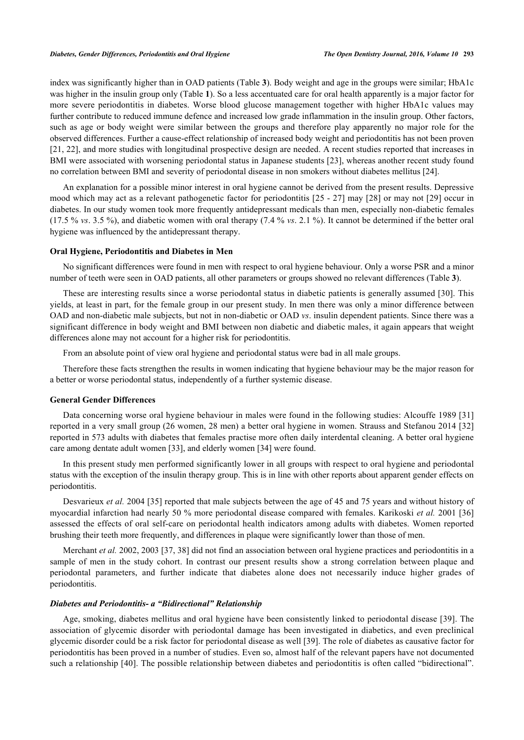index was significantly higher than in OAD patients (Table **[3](#page-4-0)**). Body weight and age in the groups were similar; HbA1c was higher in the insulin group only (Table **[1](#page-3-0)**). So a less accentuated care for oral health apparently is a major factor for more severe periodontitis in diabetes. Worse blood glucose management together with higher HbA1c values may further contribute to reduced immune defence and increased low grade inflammation in the insulin group. Other factors, such as age or body weight were similar between the groups and therefore play apparently no major role for the observed differences. Further a cause-effect relationship of increased body weight and periodontitis has not been proven [\[21](#page-9-2), [22\]](#page-9-3), and more studies with longitudinal prospective design are needed. A recent studies reported that increases in BMI were associated with worsening periodontal status in Japanese students [[23\]](#page-9-4), whereas another recent study found no correlation between BMI and severity of periodontal disease in non smokers without diabetes mellitus [[24\]](#page-9-5).

An explanation for a possible minor interest in oral hygiene cannot be derived from the present results. Depressive mood which may act as a relevant pathogenetic factor for periodontitis [\[25](#page-9-6) - [27\]](#page-9-7) may [\[28](#page-9-8)] or may not [[29](#page-9-9)] occur in diabetes. In our study women took more frequently antidepressant medicals than men, especially non-diabetic females (17.5 % *vs*. 3.5 %), and diabetic women with oral therapy (7.4 % *vs*. 2.1 %). It cannot be determined if the better oral hygiene was influenced by the antidepressant therapy.

#### **Oral Hygiene, Periodontitis and Diabetes in Men**

No significant differences were found in men with respect to oral hygiene behaviour. Only a worse PSR and a minor number of teeth were seen in OAD patients, all other parameters or groups showed no relevant differences (Table **[3](#page-4-0)**).

These are interesting results since a worse periodontal status in diabetic patients is generally assumed [\[30](#page-9-10)]. This yields, at least in part, for the female group in our present study. In men there was only a minor difference between OAD and non-diabetic male subjects, but not in non-diabetic or OAD *vs*. insulin dependent patients. Since there was a significant difference in body weight and BMI between non diabetic and diabetic males, it again appears that weight differences alone may not account for a higher risk for periodontitis.

From an absolute point of view oral hygiene and periodontal status were bad in all male groups.

Therefore these facts strengthen the results in women indicating that hygiene behaviour may be the major reason for a better or worse periodontal status, independently of a further systemic disease.

## **General Gender Differences**

Data concerning worse oral hygiene behaviour in males were found in the following studies: Alcouffe 1989 [[31](#page-9-11)] reported in a very small group (26 women, 28 men) a better oral hygiene in women. Strauss and Stefanou 2014 [[32](#page-9-12)] reported in 573 adults with diabetes that females practise more often daily interdental cleaning. A better oral hygiene care among dentate adult women [[33\]](#page-9-13), and elderly women [[34\]](#page-9-14) were found.

In this present study men performed significantly lower in all groups with respect to oral hygiene and periodontal status with the exception of the insulin therapy group. This is in line with other reports about apparent gender effects on periodontitis.

Desvarieux *et al.* 2004 [[35\]](#page-9-15) reported that male subjects between the age of 45 and 75 years and without history of myocardial infarction had nearly 50 % more periodontal disease compared with females. Karikoski *et al.* 2001 [[36](#page-9-16)] assessed the effects of oral self-care on periodontal health indicators among adults with diabetes. Women reported brushing their teeth more frequently, and differences in plaque were significantly lower than those of men.

Merchant *et al.* 2002, 2003 [[37,](#page-9-17) [38\]](#page-9-18) did not find an association between oral hygiene practices and periodontitis in a sample of men in the study cohort. In contrast our present results show a strong correlation between plaque and periodontal parameters, and further indicate that diabetes alone does not necessarily induce higher grades of periodontitis.

#### *Diabetes and Periodontitis- a "Bidirectional" Relationship*

Age, smoking, diabetes mellitus and oral hygiene have been consistently linked to periodontal disease [\[39\]](#page-9-19). The association of glycemic disorder with periodontal damage has been investigated in diabetics, and even preclinical glycemic disorder could be a risk factor for periodontal disease as well [\[39](#page-9-19)]. The role of diabetes as causative factor for periodontitis has been proved in a number of studies. Even so, almost half of the relevant papers have not documented such a relationship [[40](#page-10-0)]. The possible relationship between diabetes and periodontitis is often called "bidirectional".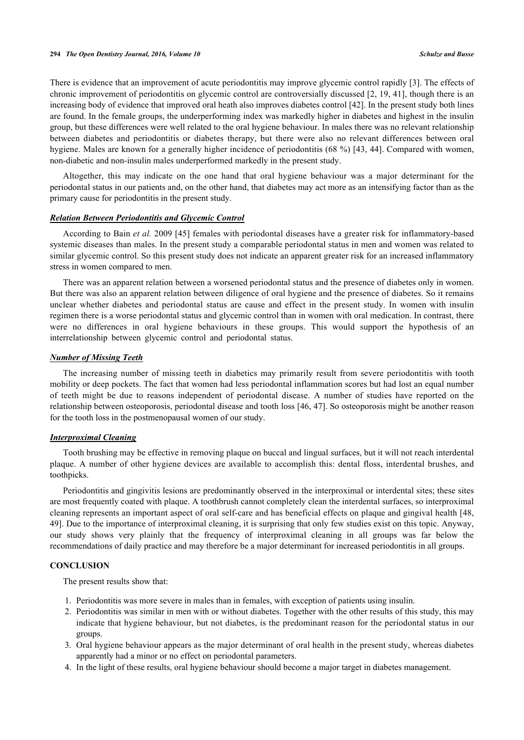There is evidence that an improvement of acute periodontitis may improve glycemic control rapidly [[3\]](#page-8-2). The effects of chronic improvement of periodontitis on glycemic control are controversially discussed [[2,](#page-8-1) [19](#page-9-0), [41\]](#page-10-1), though there is an increasing body of evidence that improved oral heath also improves diabetes control [[42\]](#page-10-2). In the present study both lines are found. In the female groups, the underperforming index was markedly higher in diabetes and highest in the insulin group, but these differences were well related to the oral hygiene behaviour. In males there was no relevant relationship between diabetes and periodontitis or diabetes therapy, but there were also no relevant differences between oral hygiene. Males are known for a generally higher incidence of periodontitis (68 %) [[43,](#page-10-3) [44\]](#page-10-4). Compared with women, non-diabetic and non-insulin males underperformed markedly in the present study.

Altogether, this may indicate on the one hand that oral hygiene behaviour was a major determinant for the periodontal status in our patients and, on the other hand, that diabetes may act more as an intensifying factor than as the primary cause for periodontitis in the present study.

## *Relation Between Periodontitis and Glycemic Control*

According to Bain *et al.* 2009 [\[45](#page-10-5)] females with periodontal diseases have a greater risk for inflammatory-based systemic diseases than males. In the present study a comparable periodontal status in men and women was related to similar glycemic control. So this present study does not indicate an apparent greater risk for an increased inflammatory stress in women compared to men.

There was an apparent relation between a worsened periodontal status and the presence of diabetes only in women. But there was also an apparent relation between diligence of oral hygiene and the presence of diabetes. So it remains unclear whether diabetes and periodontal status are cause and effect in the present study. In women with insulin regimen there is a worse periodontal status and glycemic control than in women with oral medication. In contrast, there were no differences in oral hygiene behaviours in these groups. This would support the hypothesis of an interrelationship between glycemic control and periodontal status.

#### *Number of Missing Teeth*

The increasing number of missing teeth in diabetics may primarily result from severe periodontitis with tooth mobility or deep pockets. The fact that women had less periodontal inflammation scores but had lost an equal number of teeth might be due to reasons independent of periodontal disease. A number of studies have reported on the relationship between osteoporosis, periodontal disease and tooth loss [\[46](#page-10-6), [47](#page-10-7)]. So osteoporosis might be another reason for the tooth loss in the postmenopausal women of our study.

## *Interproximal Cleaning*

Tooth brushing may be effective in removing plaque on buccal and lingual surfaces, but it will not reach interdental plaque. A number of other hygiene devices are available to accomplish this: dental floss, interdental brushes, and toothpicks.

Periodontitis and gingivitis lesions are predominantly observed in the interproximal or interdental sites; these sites are most frequently coated with plaque. A toothbrush cannot completely clean the interdental surfaces, so interproximal cleaning represents an important aspect of oral self-care and has beneficial effects on plaque and gingival health [[48](#page-10-8), [49\]](#page-10-9). Due to the importance of interproximal cleaning, it is surprising that only few studies exist on this topic. Anyway, our study shows very plainly that the frequency of interproximal cleaning in all groups was far below the recommendations of daily practice and may therefore be a major determinant for increased periodontitis in all groups.

## **CONCLUSION**

The present results show that:

- 1. Periodontitis was more severe in males than in females, with exception of patients using insulin.
- 2. Periodontitis was similar in men with or without diabetes. Together with the other results of this study, this may indicate that hygiene behaviour, but not diabetes, is the predominant reason for the periodontal status in our groups.
- 3. Oral hygiene behaviour appears as the major determinant of oral health in the present study, whereas diabetes apparently had a minor or no effect on periodontal parameters.
- 4. In the light of these results, oral hygiene behaviour should become a major target in diabetes management.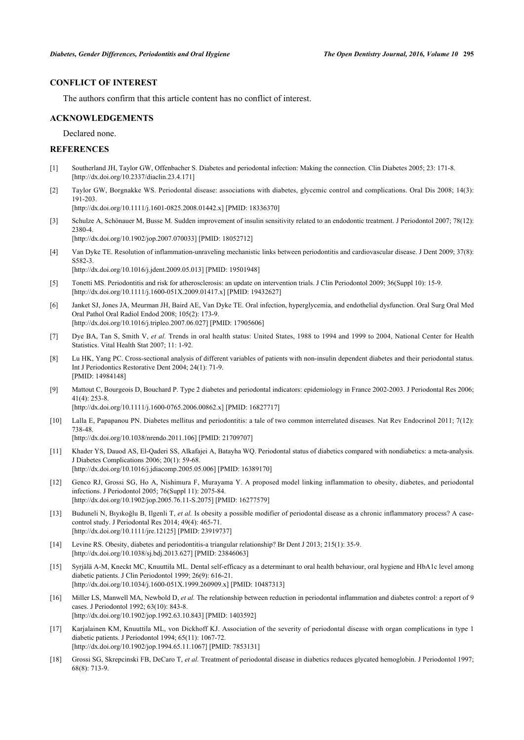## **CONFLICT OF INTEREST**

The authors confirm that this article content has no conflict of interest.

#### **ACKNOWLEDGEMENTS**

Declared none.

## **REFERENCES**

- <span id="page-8-0"></span>[1] Southerland JH, Taylor GW, Offenbacher S. Diabetes and periodontal infection: Making the connection. Clin Diabetes 2005; 23: 171-8. [\[http://dx.doi.org/10.2337/diaclin.23.4.171\]](http://dx.doi.org/10.2337/diaclin.23.4.171)
- <span id="page-8-1"></span>[2] Taylor GW, Borgnakke WS. Periodontal disease: associations with diabetes, glycemic control and complications. Oral Dis 2008; 14(3): 191-203. [\[http://dx.doi.org/10.1111/j.1601-0825.2008.01442.x\]](http://dx.doi.org/10.1111/j.1601-0825.2008.01442.x) [PMID: [18336370](http://www.ncbi.nlm.nih.gov/pubmed/18336370)]
- <span id="page-8-2"></span>[3] Schulze A, Schönauer M, Busse M. Sudden improvement of insulin sensitivity related to an endodontic treatment. J Periodontol 2007; 78(12): 2380-4. [\[http://dx.doi.org/10.1902/jop.2007.070033](http://dx.doi.org/10.1902/jop.2007.070033)] [PMID: [18052712\]](http://www.ncbi.nlm.nih.gov/pubmed/18052712)
- <span id="page-8-3"></span>[4] Van Dyke TE. Resolution of inflammation-unraveling mechanistic links between periodontitis and cardiovascular disease. J Dent 2009; 37(8): S582-3.
	- [\[http://dx.doi.org/10.1016/j.jdent.2009.05.013](http://dx.doi.org/10.1016/j.jdent.2009.05.013)] [PMID: [19501948\]](http://www.ncbi.nlm.nih.gov/pubmed/19501948)
- [5] Tonetti MS. Periodontitis and risk for atherosclerosis: an update on intervention trials. J Clin Periodontol 2009; 36(Suppl 10): 15-9. [\[http://dx.doi.org/10.1111/j.1600-051X.2009.01417.x](http://dx.doi.org/10.1111/j.1600-051X.2009.01417.x)] [PMID: [19432627](http://www.ncbi.nlm.nih.gov/pubmed/19432627)]
- <span id="page-8-4"></span>[6] Janket SJ, Jones JA, Meurman JH, Baird AE, Van Dyke TE. Oral infection, hyperglycemia, and endothelial dysfunction. Oral Surg Oral Med Oral Pathol Oral Radiol Endod 2008; 105(2): 173-9. [\[http://dx.doi.org/10.1016/j.tripleo.2007.06.027\]](http://dx.doi.org/10.1016/j.tripleo.2007.06.027) [PMID: [17905606](http://www.ncbi.nlm.nih.gov/pubmed/17905606)]
- <span id="page-8-5"></span>[7] Dye BA, Tan S, Smith V, *et al.* Trends in oral health status: United States, 1988 to 1994 and 1999 to 2004, National Center for Health Statistics. Vital Health Stat 2007; 11: 1-92.
- <span id="page-8-6"></span>[8] Lu HK, Yang PC. Cross-sectional analysis of different variables of patients with non-insulin dependent diabetes and their periodontal status. Int J Periodontics Restorative Dent 2004; 24(1): 71-9. [PMID: [14984148\]](http://www.ncbi.nlm.nih.gov/pubmed/14984148)
- <span id="page-8-7"></span>[9] Mattout C, Bourgeois D, Bouchard P. Type 2 diabetes and periodontal indicators: epidemiology in France 2002-2003. J Periodontal Res 2006; 41(4): 253-8.

[\[http://dx.doi.org/10.1111/j.1600-0765.2006.00862.x\]](http://dx.doi.org/10.1111/j.1600-0765.2006.00862.x) [PMID: [16827717](http://www.ncbi.nlm.nih.gov/pubmed/16827717)]

- <span id="page-8-8"></span>[10] Lalla E, Papapanou PN. Diabetes mellitus and periodontitis: a tale of two common interrelated diseases. Nat Rev Endocrinol 2011; 7(12): 738-48.
	- [\[http://dx.doi.org/10.1038/nrendo.2011.106](http://dx.doi.org/10.1038/nrendo.2011.106)] [PMID: [21709707\]](http://www.ncbi.nlm.nih.gov/pubmed/21709707)
- <span id="page-8-9"></span>[11] Khader YS, Dauod AS, El-Qaderi SS, Alkafajei A, Batayha WQ. Periodontal status of diabetics compared with nondiabetics: a meta-analysis. J Diabetes Complications 2006; 20(1): 59-68. [\[http://dx.doi.org/10.1016/j.jdiacomp.2005.05.006\]](http://dx.doi.org/10.1016/j.jdiacomp.2005.05.006) [PMID: [16389170](http://www.ncbi.nlm.nih.gov/pubmed/16389170)]
- <span id="page-8-10"></span>[12] Genco RJ, Grossi SG, Ho A, Nishimura F, Murayama Y. A proposed model linking inflammation to obesity, diabetes, and periodontal infections. J Periodontol 2005; 76(Suppl 11): 2075-84. [\[http://dx.doi.org/10.1902/jop.2005.76.11-S.2075](http://dx.doi.org/10.1902/jop.2005.76.11-S.2075)] [PMID: [16277579\]](http://www.ncbi.nlm.nih.gov/pubmed/16277579)
- <span id="page-8-11"></span>[13] Buduneli N, Bıyıkoğlu B, Ilgenli T, *et al.* Is obesity a possible modifier of periodontal disease as a chronic inflammatory process? A casecontrol study. J Periodontal Res 2014; 49(4): 465-71. [\[http://dx.doi.org/10.1111/jre.12125](http://dx.doi.org/10.1111/jre.12125)] [PMID: [23919737\]](http://www.ncbi.nlm.nih.gov/pubmed/23919737)
- <span id="page-8-12"></span>[14] Levine RS. Obesity, diabetes and periodontitis-a triangular relationship? Br Dent J 2013; 215(1): 35-9. [\[http://dx.doi.org/10.1038/sj.bdj.2013.627](http://dx.doi.org/10.1038/sj.bdj.2013.627)] [PMID: [23846063\]](http://www.ncbi.nlm.nih.gov/pubmed/23846063)
- <span id="page-8-13"></span>[15] Syrjälä A-M, Kneckt MC, Knuuttila ML. Dental self-efficacy as a determinant to oral health behaviour, oral hygiene and HbA1c level among diabetic patients. J Clin Periodontol 1999; 26(9): 616-21. [\[http://dx.doi.org/10.1034/j.1600-051X.1999.260909.x](http://dx.doi.org/10.1034/j.1600-051X.1999.260909.x)] [PMID: [10487313](http://www.ncbi.nlm.nih.gov/pubmed/10487313)]
- <span id="page-8-14"></span>[16] Miller LS, Manwell MA, Newbold D, *et al.* The relationship between reduction in periodontal inflammation and diabetes control: a report of 9 cases. J Periodontol 1992; 63(10): 843-8. [\[http://dx.doi.org/10.1902/jop.1992.63.10.843](http://dx.doi.org/10.1902/jop.1992.63.10.843)] [PMID: [1403592\]](http://www.ncbi.nlm.nih.gov/pubmed/1403592)
- [17] Karjalainen KM, Knuuttila ML, von Dickhoff KJ. Association of the severity of periodontal disease with organ complications in type 1 diabetic patients. J Periodontol 1994; 65(11): 1067-72. [\[http://dx.doi.org/10.1902/jop.1994.65.11.1067](http://dx.doi.org/10.1902/jop.1994.65.11.1067)] [PMID: [7853131\]](http://www.ncbi.nlm.nih.gov/pubmed/7853131)
- [18] Grossi SG, Skrepcinski FB, DeCaro T, *et al.* Treatment of periodontal disease in diabetics reduces glycated hemoglobin. J Periodontol 1997; 68(8): 713-9.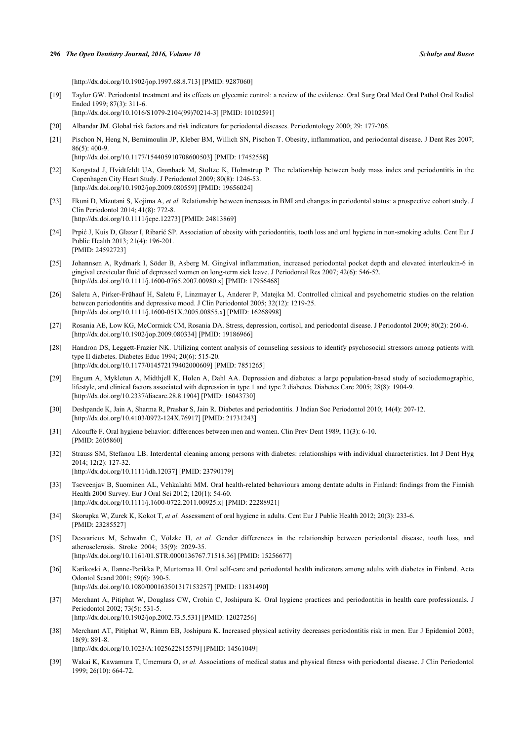#### **296** *The Open Dentistry Journal, 2016, Volume 10 Schulze and Busse*

[\[http://dx.doi.org/10.1902/jop.1997.68.8.713](http://dx.doi.org/10.1902/jop.1997.68.8.713)] [PMID: [9287060\]](http://www.ncbi.nlm.nih.gov/pubmed/9287060)

- <span id="page-9-0"></span>[19] Taylor GW. Periodontal treatment and its effects on glycemic control: a review of the evidence. Oral Surg Oral Med Oral Pathol Oral Radiol Endod 1999; 87(3): 311-6. [\[http://dx.doi.org/10.1016/S1079-2104\(99\)70214-3\]](http://dx.doi.org/10.1016/S1079-2104(99)70214-3) [PMID: [10102591](http://www.ncbi.nlm.nih.gov/pubmed/10102591)]
- <span id="page-9-1"></span>[20] Albandar JM. Global risk factors and risk indicators for periodontal diseases. Periodontology 2000; 29: 177-206.
- <span id="page-9-2"></span>[21] Pischon N, Heng N, Bernimoulin JP, Kleber BM, Willich SN, Pischon T. Obesity, inflammation, and periodontal disease. J Dent Res 2007; 86(5): 400-9.
	- [\[http://dx.doi.org/10.1177/154405910708600503\]](http://dx.doi.org/10.1177/154405910708600503) [PMID: [17452558](http://www.ncbi.nlm.nih.gov/pubmed/17452558)]
- <span id="page-9-3"></span>[22] Kongstad J, Hvidtfeldt UA, Grønbaek M, Stoltze K, Holmstrup P. The relationship between body mass index and periodontitis in the Copenhagen City Heart Study. J Periodontol 2009; 80(8): 1246-53. [\[http://dx.doi.org/10.1902/jop.2009.080559](http://dx.doi.org/10.1902/jop.2009.080559)] [PMID: [19656024\]](http://www.ncbi.nlm.nih.gov/pubmed/19656024)
- <span id="page-9-4"></span>[23] Ekuni D, Mizutani S, Kojima A, *et al.* Relationship between increases in BMI and changes in periodontal status: a prospective cohort study. J Clin Periodontol 2014; 41(8): 772-8. [\[http://dx.doi.org/10.1111/jcpe.12273](http://dx.doi.org/10.1111/jcpe.12273)] [PMID: [24813869\]](http://www.ncbi.nlm.nih.gov/pubmed/24813869)
- <span id="page-9-5"></span>[24] Prpić J, Kuis D, Glazar I, Ribarić SP. Association of obesity with periodontitis, tooth loss and oral hygiene in non-smoking adults. Cent Eur J Public Health 2013; 21(4): 196-201. [PMID: [24592723\]](http://www.ncbi.nlm.nih.gov/pubmed/24592723)
- <span id="page-9-6"></span>[25] Johannsen A, Rydmark I, Söder B, Asberg M. Gingival inflammation, increased periodontal pocket depth and elevated interleukin-6 in gingival crevicular fluid of depressed women on long-term sick leave. J Periodontal Res 2007; 42(6): 546-52. [\[http://dx.doi.org/10.1111/j.1600-0765.2007.00980.x\]](http://dx.doi.org/10.1111/j.1600-0765.2007.00980.x) [PMID: [17956468](http://www.ncbi.nlm.nih.gov/pubmed/17956468)]
- [26] Saletu A, Pirker-Frühauf H, Saletu F, Linzmayer L, Anderer P, Matejka M. Controlled clinical and psychometric studies on the relation between periodontitis and depressive mood. J Clin Periodontol 2005; 32(12): 1219-25. [\[http://dx.doi.org/10.1111/j.1600-051X.2005.00855.x](http://dx.doi.org/10.1111/j.1600-051X.2005.00855.x)] [PMID: [16268998](http://www.ncbi.nlm.nih.gov/pubmed/16268998)]
- <span id="page-9-7"></span>[27] Rosania AE, Low KG, McCormick CM, Rosania DA. Stress, depression, cortisol, and periodontal disease. J Periodontol 2009; 80(2): 260-6. [\[http://dx.doi.org/10.1902/jop.2009.080334](http://dx.doi.org/10.1902/jop.2009.080334)] [PMID: [19186966\]](http://www.ncbi.nlm.nih.gov/pubmed/19186966)
- <span id="page-9-8"></span>[28] Handron DS, Leggett-Frazier NK. Utilizing content analysis of counseling sessions to identify psychosocial stressors among patients with type II diabetes. Diabetes Educ 1994; 20(6): 515-20. [\[http://dx.doi.org/10.1177/014572179402000609\]](http://dx.doi.org/10.1177/014572179402000609) [PMID: [7851265](http://www.ncbi.nlm.nih.gov/pubmed/7851265)]
- <span id="page-9-9"></span>[29] Engum A, Mykletun A, Midthjell K, Holen A, Dahl AA. Depression and diabetes: a large population-based study of sociodemographic, lifestyle, and clinical factors associated with depression in type 1 and type 2 diabetes. Diabetes Care 2005; 28(8): 1904-9. [\[http://dx.doi.org/10.2337/diacare.28.8.1904\]](http://dx.doi.org/10.2337/diacare.28.8.1904) [PMID: [16043730](http://www.ncbi.nlm.nih.gov/pubmed/16043730)]
- <span id="page-9-10"></span>[30] Deshpande K, Jain A, Sharma R, Prashar S, Jain R. Diabetes and periodontitis. J Indian Soc Periodontol 2010; 14(4): 207-12. [\[http://dx.doi.org/10.4103/0972-124X.76917](http://dx.doi.org/10.4103/0972-124X.76917)] [PMID: [21731243\]](http://www.ncbi.nlm.nih.gov/pubmed/21731243)
- <span id="page-9-11"></span>[31] Alcouffe F. Oral hygiene behavior: differences between men and women. Clin Prev Dent 1989; 11(3): 6-10. [PMID: [2605860\]](http://www.ncbi.nlm.nih.gov/pubmed/2605860)
- <span id="page-9-12"></span>[32] Strauss SM, Stefanou LB. Interdental cleaning among persons with diabetes: relationships with individual characteristics. Int J Dent Hyg 2014; 12(2): 127-32. [\[http://dx.doi.org/10.1111/idh.12037](http://dx.doi.org/10.1111/idh.12037)] [PMID: [23790179\]](http://www.ncbi.nlm.nih.gov/pubmed/23790179)
- <span id="page-9-13"></span>[33] Tseveenjav B, Suominen AL, Vehkalahti MM. Oral health-related behaviours among dentate adults in Finland: findings from the Finnish Health 2000 Survey. Eur J Oral Sci 2012; 120(1): 54-60. [\[http://dx.doi.org/10.1111/j.1600-0722.2011.00925.x\]](http://dx.doi.org/10.1111/j.1600-0722.2011.00925.x) [PMID: [22288921](http://www.ncbi.nlm.nih.gov/pubmed/22288921)]
- <span id="page-9-14"></span>[34] Skorupka W, Zurek K, Kokot T, *et al.* Assessment of oral hygiene in adults. Cent Eur J Public Health 2012; 20(3): 233-6. [PMID: [23285527\]](http://www.ncbi.nlm.nih.gov/pubmed/23285527)
- <span id="page-9-15"></span>[35] Desvarieux M, Schwahn C, Völzke H, *et al.* Gender differences in the relationship between periodontal disease, tooth loss, and atherosclerosis. Stroke 2004; 35(9): 2029-35. [\[http://dx.doi.org/10.1161/01.STR.0000136767.71518.36](http://dx.doi.org/10.1161/01.STR.0000136767.71518.36)] [PMID: [15256677](http://www.ncbi.nlm.nih.gov/pubmed/15256677)]
- <span id="page-9-16"></span>[36] Karikoski A, Ilanne-Parikka P, Murtomaa H. Oral self-care and periodontal health indicators among adults with diabetes in Finland. Acta Odontol Scand 2001; 59(6): 390-5. [\[http://dx.doi.org/10.1080/000163501317153257\]](http://dx.doi.org/10.1080/000163501317153257) [PMID: [11831490](http://www.ncbi.nlm.nih.gov/pubmed/11831490)]
- <span id="page-9-17"></span>[37] Merchant A, Pitiphat W, Douglass CW, Crohin C, Joshipura K. Oral hygiene practices and periodontitis in health care professionals. J Periodontol 2002; 73(5): 531-5.
	- [\[http://dx.doi.org/10.1902/jop.2002.73.5.531](http://dx.doi.org/10.1902/jop.2002.73.5.531)] [PMID: [12027256\]](http://www.ncbi.nlm.nih.gov/pubmed/12027256)
- <span id="page-9-18"></span>[38] Merchant AT, Pitiphat W, Rimm EB, Joshipura K. Increased physical activity decreases periodontitis risk in men. Eur J Epidemiol 2003; 18(9): 891-8.

[\[http://dx.doi.org/10.1023/A:1025622815579\]](http://dx.doi.org/10.1023/A:1025622815579) [PMID: [14561049](http://www.ncbi.nlm.nih.gov/pubmed/14561049)]

<span id="page-9-19"></span>[39] Wakai K, Kawamura T, Umemura O, *et al.* Associations of medical status and physical fitness with periodontal disease. J Clin Periodontol 1999; 26(10): 664-72.